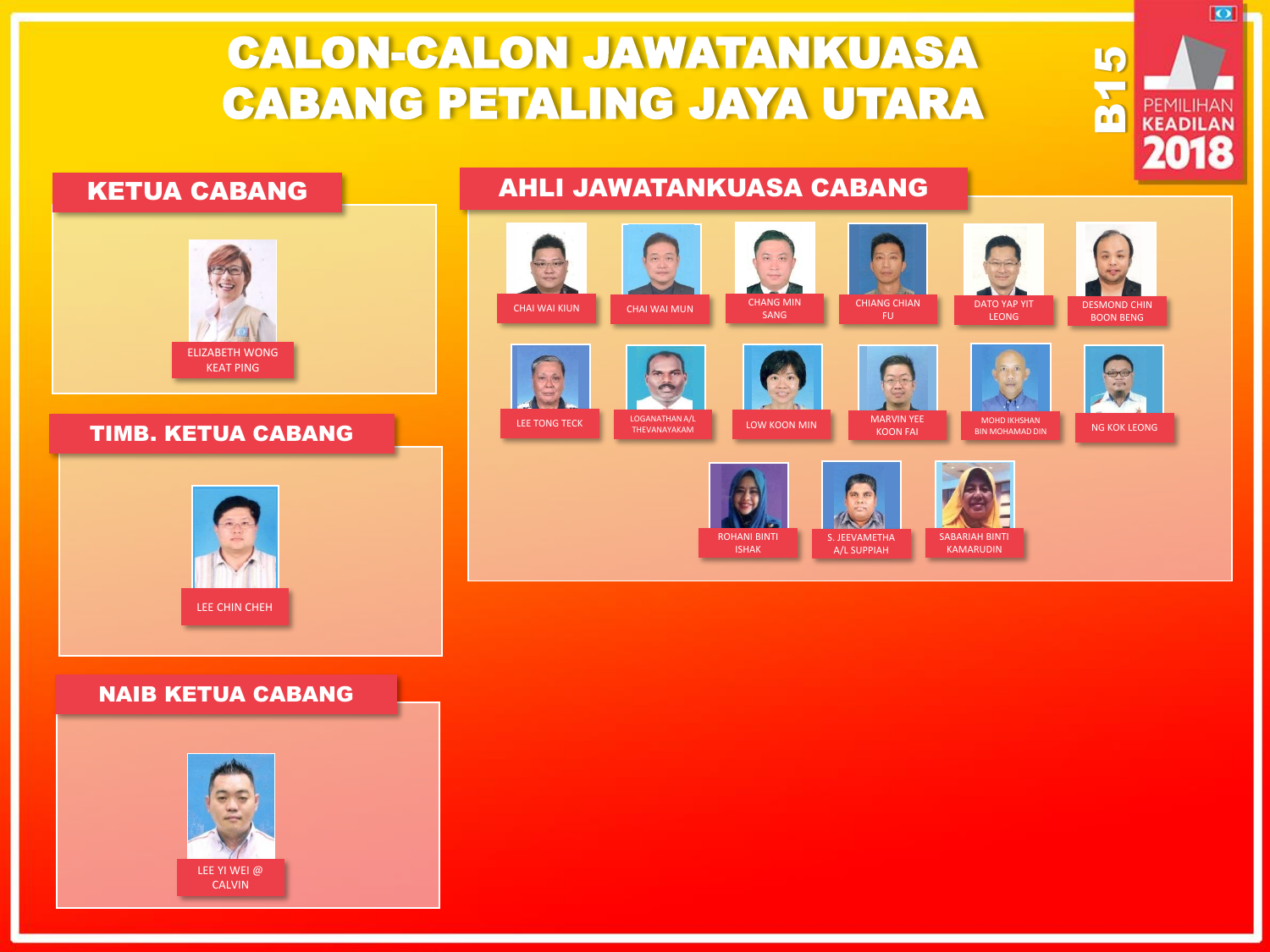## CALON-CALON JAWATANKUASA CABANG PETALING JAYA UTARA



### TIMB. KETUA CABANG



### NAIB KETUA CABANG



### KETUA CABANG **AHLI JAWATANKUASA CABANG**



B15

 $\overline{\mathbf{O}}$ 

PEMILIHAN KEADILAN 2018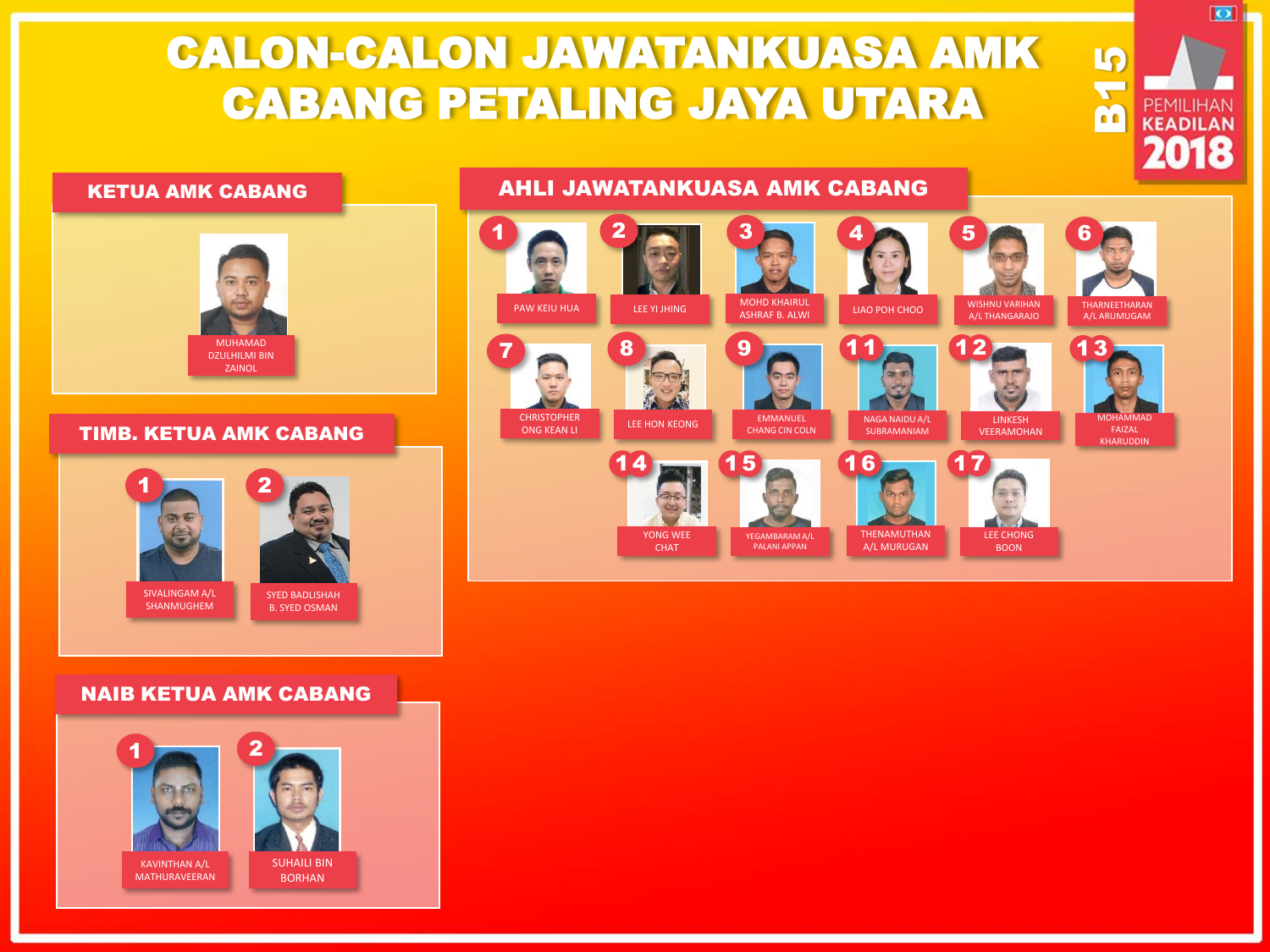# CALON-CALON JAWATANKUASA AMK CABANG PETALING JAYA UTARA

### KETUA AMK CABANG **AHLI JAWATANKUASA AMK CABANG**



#### TIMB. KETUA AMK CABANG



### NAIB KETUA AMK CABANG





YONG WEE

CHAT

YEGAMBARAM A/L PALANI APPAN

THENAMUTHAN A/L MURUGAN

B15

 $\overline{\bullet}$ 

PEMILIHAN **KEADILAN** 2018

LEE CHONG BOON